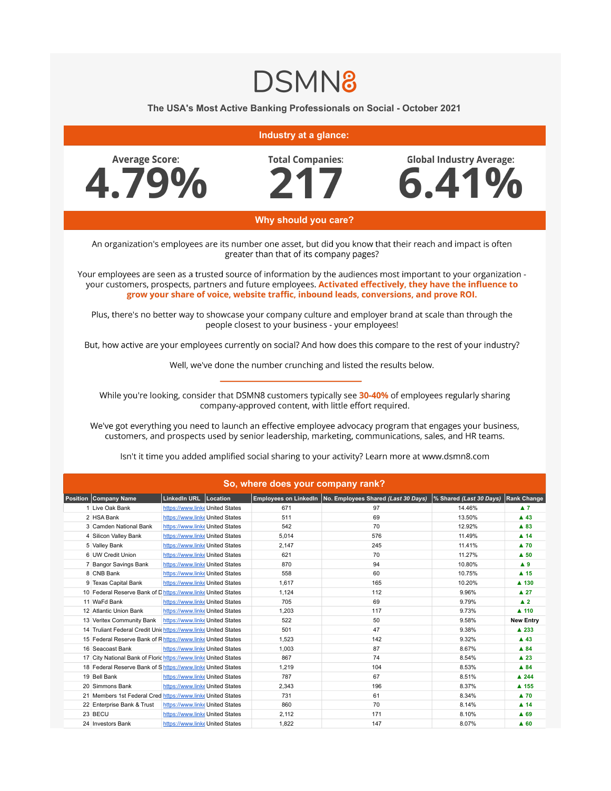

The USA's Most Active Banking Professionals on Social - October 2021

## Industry at a glance:



**Total Companies:** 

**Global Industry Average:** 6.41%

## Why should you care?

An organization's employees are its number one asset, but did you know that their reach and impact is often greater than that of its company pages?

Your employees are seen as a trusted source of information by the audiences most important to your organization your customers, prospects, partners and future employees. Activated effectively, they have the influence to grow your share of voice, website traffic, inbound leads, conversions, and prove ROI.

Plus, there's no better way to showcase your company culture and employer brand at scale than through the people closest to your business - your employees!

But, how active are your employees currently on social? And how does this compare to the rest of your industry?

Well, we've done the number crunching and listed the results below.

While you're looking, consider that DSMN8 customers typically see 30-40% of employees regularly sharing company-approved content, with little effort required.

We've got everything you need to launch an effective employee advocacy program that engages your business, customers, and prospects used by senior leadership, marketing, communications, sales, and HR teams.

| So, where does your company rank? |                                                                 |                                 |  |       |                                                             |                         |                      |  |  |
|-----------------------------------|-----------------------------------------------------------------|---------------------------------|--|-------|-------------------------------------------------------------|-------------------------|----------------------|--|--|
|                                   | <b>Position Company Name</b>                                    | LinkedIn URL   Location         |  |       | Employees on LinkedIn   No. Employees Shared (Last 30 Days) | % Shared (Last 30 Days) | Rank Change          |  |  |
|                                   | 1 Live Oak Bank                                                 | https://www.linke United States |  | 671   | 97                                                          | 14.46%                  | $\blacktriangle$ 7   |  |  |
|                                   | 2 HSA Bank                                                      | https://www.linke United States |  | 511   | 69                                                          | 13.50%                  | $\blacktriangle$ 43  |  |  |
|                                   | 3 Camden National Bank                                          | https://www.linke United States |  | 542   | 70                                                          | 12.92%                  | ▲ 83                 |  |  |
|                                   | 4 Silicon Valley Bank                                           | https://www.linke United States |  | 5,014 | 576                                                         | 11.49%                  | $\blacktriangle$ 14  |  |  |
|                                   | 5 Valley Bank                                                   | https://www.linke United States |  | 2.147 | 245                                                         | 11.41%                  | $\blacktriangle$ 70  |  |  |
|                                   | 6 UW Credit Union                                               | https://www.linke United States |  | 621   | 70                                                          | 11.27%                  | $A$ 50               |  |  |
|                                   | 7 Bangor Savings Bank                                           | https://www.linke United States |  | 870   | 94                                                          | 10.80%                  | A9                   |  |  |
|                                   | 8 CNB Bank                                                      | https://www.linke United States |  | 558   | 60                                                          | 10.75%                  | $A$ 15               |  |  |
|                                   | 9 Texas Capital Bank                                            | https://www.linke United States |  | 1.617 | 165                                                         | 10.20%                  | $\blacktriangle$ 130 |  |  |
|                                   | 10 Federal Reserve Bank of Dhttps://www.linke United States     |                                 |  | 1.124 | 112                                                         | 9.96%                   | $\blacktriangle$ 27  |  |  |
|                                   | 11 WaFd Bank                                                    | https://www.linke United States |  | 705   | 69                                                          | 9.79%                   | $\blacktriangle$ 2   |  |  |
|                                   | 12 Atlantic Union Bank                                          | https://www.linke United States |  | 1,203 | 117                                                         | 9.73%                   | $\blacktriangle$ 110 |  |  |
|                                   | 13 Veritex Community Bank                                       | https://www.linke United States |  | 522   | 50                                                          | 9.58%                   | <b>New Entry</b>     |  |  |
|                                   | 14 Truliant Federal Credit Unichttps://www.linke United States  |                                 |  | 501   | 47                                                          | 9.38%                   | ▲ 233                |  |  |
|                                   | 15 Federal Reserve Bank of Rhttps://www.linke United States     |                                 |  | 1.523 | 142                                                         | 9.32%                   | $\blacktriangle$ 43  |  |  |
|                                   | 16 Seacoast Bank                                                | https://www.linke United States |  | 1.003 | 87                                                          | 8.67%                   | A84                  |  |  |
|                                   | 17 City National Bank of Floric https://www.linke United States |                                 |  | 867   | 74                                                          | 8.54%                   | $\blacktriangle$ 23  |  |  |
|                                   | 18 Federal Reserve Bank of Shttps://www.linke United States     |                                 |  | 1,219 | 104                                                         | 8.53%                   | A84                  |  |  |
|                                   | 19 Bell Bank                                                    | https://www.linke United States |  | 787   | 67                                                          | 8.51%                   | $\triangle$ 244      |  |  |
|                                   | 20 Simmons Bank                                                 | https://www.linke United States |  | 2,343 | 196                                                         | 8.37%                   | ▲ 155                |  |  |
|                                   | 21 Members 1st Federal Cred https://www.linke United States     |                                 |  | 731   | 61                                                          | 8.34%                   | $\blacktriangle$ 70  |  |  |
|                                   | 22 Enterprise Bank & Trust                                      | https://www.linke United States |  | 860   | 70                                                          | 8.14%                   | $\blacktriangle$ 14  |  |  |
|                                   | 23 BECU                                                         | https://www.linke United States |  | 2,112 | 171                                                         | 8.10%                   | A 69                 |  |  |
|                                   | 24 Investors Bank                                               | https://www.linke United States |  | 1,822 | 147                                                         | 8.07%                   | $A$ 60               |  |  |

Isn't it time you added amplified social sharing to your activity? Learn more at www.dsmn8.com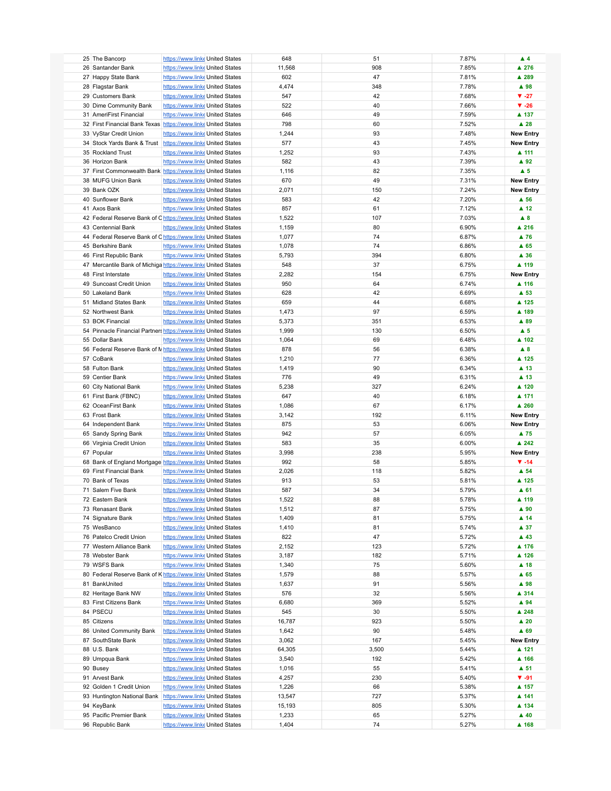| 25 The Bancorp                                                 | https://www.linke United States |  | 648    | 51    | 7.87% | $\blacktriangle$ 4  |
|----------------------------------------------------------------|---------------------------------|--|--------|-------|-------|---------------------|
| 26 Santander Bank                                              | https://www.linke United States |  | 11,568 | 908   | 7.85% | ▲ 276               |
|                                                                |                                 |  |        |       |       |                     |
| 27 Happy State Bank                                            | https://www.linke United States |  | 602    | 47    | 7.81% | ▲ 289               |
| 28 Flagstar Bank                                               | https://www.linke United States |  | 4,474  | 348   | 7.78% | ▲ 98                |
| 29 Customers Bank                                              | https://www.linke United States |  | 547    | 42    | 7.68% | $V - 27$            |
| 30 Dime Community Bank                                         | https://www.linke United States |  | 522    | 40    | 7.66% | $\Psi - 26$         |
|                                                                |                                 |  |        |       |       |                     |
| 31 AmeriFirst Financial                                        | https://www.linke United States |  | 646    | 49    | 7.59% | ▲ 137               |
| 32 First Financial Bank Texas https://www.linke United States  |                                 |  | 798    | 60    | 7.52% | $\blacktriangle$ 28 |
| 33 VyStar Credit Union                                         | https://www.linke United States |  | 1,244  | 93    | 7.48% | <b>New Entry</b>    |
|                                                                |                                 |  |        |       |       |                     |
| 34 Stock Yards Bank & Trust https://www.linke United States    |                                 |  | 577    | 43    | 7.45% | <b>New Entry</b>    |
| 35 Rockland Trust                                              | https://www.linke United States |  | 1,252  | 93    | 7.43% | ▲ 111               |
| 36 Horizon Bank                                                | https://www.linke United States |  | 582    | 43    | 7.39% | ▲ 92                |
| 37 First Commonwealth Bank https://www.linke United States     |                                 |  | 1,116  | 82    | 7.35% | $\blacktriangle$ 5  |
|                                                                |                                 |  |        |       |       |                     |
| 38 MUFG Union Bank                                             | https://www.linke United States |  | 670    | 49    | 7.31% | <b>New Entry</b>    |
| 39 Bank OZK                                                    | https://www.linke United States |  | 2,071  | 150   | 7.24% | <b>New Entry</b>    |
| 40 Sunflower Bank                                              | https://www.linke United States |  | 583    | 42    | 7.20% | $\blacktriangle$ 56 |
| 41 Axos Bank                                                   | https://www.linke United States |  | 857    | 61    | 7.12% | $\blacktriangle$ 12 |
|                                                                |                                 |  |        |       |       |                     |
| 42 Federal Reserve Bank of Chttps://www.linke United States    |                                 |  | 1,522  | 107   | 7.03% | $\blacktriangle$ 8  |
| 43 Centennial Bank                                             | https://www.linke United States |  | 1,159  | 80    | 6.90% | ▲ 216               |
| 44 Federal Reserve Bank of Chttps://www.linke United States    |                                 |  | 1,077  | 74    | 6.87% | ▲ 76                |
| 45 Berkshire Bank                                              | https://www.linke United States |  | 1,078  | 74    | 6.86% | $A$ 65              |
|                                                                |                                 |  |        |       |       |                     |
| 46 First Republic Bank                                         | https://www.linke United States |  | 5,793  | 394   | 6.80% | ▲ 36                |
| 47 Mercantile Bank of Michiga https://www.linke United States  |                                 |  | 548    | 37    | 6.75% | ▲ 119               |
| 48 First Interstate                                            | https://www.linke United States |  | 2,282  | 154   | 6.75% | <b>New Entry</b>    |
| 49 Suncoast Credit Union                                       | https://www.linke United States |  | 950    | 64    | 6.74% | ▲ 116               |
|                                                                |                                 |  |        |       |       |                     |
| 50 Lakeland Bank                                               | https://www.linke United States |  | 628    | 42    | 6.69% | ▲ 53                |
| 51 Midland States Bank                                         | https://www.linke United States |  | 659    | 44    | 6.68% | ▲ 125               |
| 52 Northwest Bank                                              | https://www.linke United States |  | 1,473  | 97    | 6.59% | ▲ 189               |
|                                                                |                                 |  |        |       |       |                     |
| 53 BOK Financial                                               | https://www.linke United States |  | 5,373  | 351   | 6.53% | ▲ 89                |
| 54 Pinnacle Financial Partners https://www.linke United States |                                 |  | 1,999  | 130   | 6.50% | $\blacktriangle$ 5  |
| 55 Dollar Bank                                                 | https://www.linke United States |  | 1,064  | 69    | 6.48% | ▲ 102               |
| 56 Federal Reserve Bank of N https://www.linke United States   |                                 |  | 878    | 56    | 6.38% | $\blacktriangle$ 8  |
|                                                                |                                 |  |        |       |       |                     |
| 57 CoBank                                                      | https://www.linke United States |  | 1,210  | 77    | 6.36% | ▲ 125               |
| 58 Fulton Bank                                                 | https://www.linke United States |  | 1,419  | 90    | 6.34% | ▲ 13                |
| 59 Centier Bank                                                | https://www.linke United States |  | 776    | 49    | 6.31% | ▲ 13                |
|                                                                | https://www.linke United States |  | 5,238  | 327   | 6.24% | ▲ 120               |
| 60 City National Bank                                          |                                 |  |        |       |       |                     |
| 61 First Bank (FBNC)                                           | https://www.linke United States |  | 647    | 40    | 6.18% | ▲ 171               |
| 62 OceanFirst Bank                                             | https://www.linke United States |  | 1,086  | 67    | 6.17% | ▲ 260               |
| 63 Frost Bank                                                  | https://www.linke United States |  | 3,142  | 192   | 6.11% | <b>New Entry</b>    |
|                                                                |                                 |  |        |       |       |                     |
| 64 Independent Bank                                            | https://www.linke United States |  | 875    | 53    | 6.06% | <b>New Entry</b>    |
| 65 Sandy Spring Bank                                           | https://www.linke United States |  | 942    | 57    | 6.05% | ▲ 75                |
| 66 Virginia Credit Union                                       | https://www.linke United States |  | 583    | 35    | 6.00% | ▲ 242               |
| 67 Popular                                                     | https://www.linke United States |  | 3,998  | 238   | 5.95% | <b>New Entry</b>    |
|                                                                |                                 |  |        |       |       |                     |
| 68 Bank of England Mortgage https://www.linke United States    |                                 |  | 992    | 58    | 5.85% | $\Psi - 14$         |
| 69 First Financial Bank                                        | https://www.linke United States |  | 2,026  | 118   | 5.82% | $\blacktriangle$ 54 |
| 70 Bank of Texas                                               | https://www.linke United States |  | 913    | 53    | 5.81% | ▲ 125               |
| 71 Salem Five Bank                                             | https://www.linke United States |  | 587    | 34    | 5.79% | $A$ 61              |
|                                                                |                                 |  |        |       |       |                     |
| 72 Eastern Bank                                                | https://www.linke United States |  | 1,522  | 88    | 5.78% | ▲ 119               |
| 73 Renasant Bank                                               | https://www.linke United States |  | 1,512  | 87    | 5.75% | ▲ 90                |
| 74 Signature Bank                                              | https://www.linke United States |  | 1,409  | 81    | 5.75% | ▲ 14                |
|                                                                |                                 |  |        |       |       |                     |
| 75 WesBanco                                                    | https://www.linke United States |  | 1,410  | 81    | 5.74% | ▲ 37                |
| 76 Patelco Credit Union                                        | https://www.linke United States |  | 822    | 47    | 5.72% | ▲ 43                |
| 77 Western Alliance Bank                                       | https://www.linke United States |  | 2,152  | 123   | 5.72% | ▲ 176               |
| 78 Webster Bank                                                | https://www.linke United States |  | 3,187  | 182   | 5.71% | ▲ 126               |
|                                                                |                                 |  |        |       |       |                     |
| 79 WSFS Bank                                                   | https://www.linke United States |  | 1,340  | 75    | 5.60% | $\blacktriangle$ 18 |
| 80 Federal Reserve Bank of Khttps://www.linke United States    |                                 |  | 1,579  | 88    | 5.57% | A65                 |
| 81 BankUnited                                                  | https://www.linke United States |  | 1,637  | 91    | 5.56% | ▲ 98                |
| 82 Heritage Bank NW                                            | https://www.linke United States |  | 576    | 32    | 5.56% | ▲ 314               |
|                                                                |                                 |  |        |       |       |                     |
| 83 First Citizens Bank                                         | https://www.linke United States |  | 6,680  | 369   | 5.52% | ▲ 94                |
| 84 PSECU                                                       | https://www.linke United States |  | 545    | 30    | 5.50% | ▲ 248               |
| 85 Citizens                                                    | https://www.linke United States |  | 16,787 | 923   | 5.50% | $\blacktriangle$ 20 |
| 86 United Community Bank                                       | https://www.linke United States |  | 1,642  | 90    | 5.48% | ▲ 69                |
|                                                                |                                 |  |        |       |       |                     |
| 87 SouthState Bank                                             | https://www.linke United States |  | 3,062  | 167   | 5.45% | <b>New Entry</b>    |
| 88 U.S. Bank                                                   | https://www.linke United States |  | 64,305 | 3,500 | 5.44% | ▲ 121               |
| 89 Umpqua Bank                                                 | https://www.linke United States |  | 3,540  | 192   | 5.42% | ▲ 166               |
|                                                                |                                 |  |        |       |       |                     |
| 90 Busey                                                       | https://www.linke United States |  | 1,016  | 55    | 5.41% | $\blacktriangle$ 51 |
| 91 Arvest Bank                                                 | https://www.linke United States |  | 4,257  | 230   | 5.40% | $\Psi - 91$         |
| 92 Golden 1 Credit Union                                       | https://www.linke United States |  | 1,226  | 66    | 5.38% | ▲ 157               |
| 93 Huntington National Bank                                    | https://www.linke United States |  | 13,547 | 727   | 5.37% | ▲ 141               |
|                                                                |                                 |  |        |       |       |                     |
| 94 KeyBank                                                     | https://www.linke United States |  | 15,193 | 805   | 5.30% | ▲ 134               |
| 95 Pacific Premier Bank                                        | https://www.linke United States |  | 1,233  | 65    | 5.27% | $\blacktriangle$ 40 |
| 96 Republic Bank                                               | https://www.linke United States |  | 1,404  | 74    | 5.27% | ▲ 168               |
|                                                                |                                 |  |        |       |       |                     |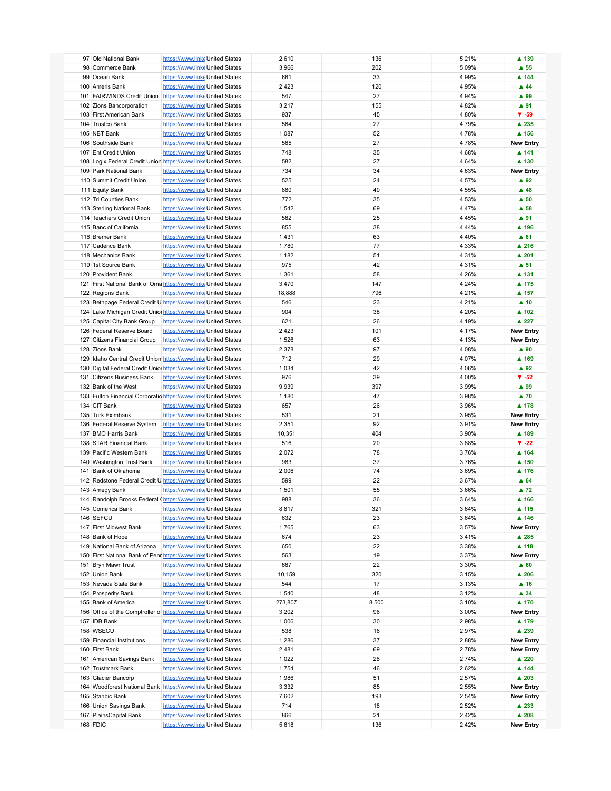| 97 Old National Bank                                             | https://www.linke United States |  | 2,610   | 136   | 5.21% | ▲ 139                    |
|------------------------------------------------------------------|---------------------------------|--|---------|-------|-------|--------------------------|
| 98 Commerce Bank                                                 | https://www.linke United States |  | 3,966   | 202   | 5.09% | $\blacktriangle$ 55      |
|                                                                  |                                 |  |         | 33    | 4.99% | ▲ 144                    |
| 99 Ocean Bank                                                    | https://www.linke United States |  | 661     |       |       |                          |
| 100 Ameris Bank                                                  | https://www.linke United States |  | 2,423   | 120   | 4.95% | $\blacktriangle$ 44      |
| 101 FAIRWINDS Credit Union                                       | https://www.linke United States |  | 547     | 27    | 4.94% | ▲ 99                     |
| 102 Zions Bancorporation                                         | https://www.linke United States |  | 3,217   | 155   | 4.82% | ▲ 91                     |
| 103 First American Bank                                          | https://www.linke United States |  | 937     | 45    | 4.80% | $\Psi - 59$              |
| 104 Trustco Bank                                                 | https://www.linke United States |  | 564     | 27    | 4.79% | ▲ 235                    |
|                                                                  |                                 |  |         |       |       |                          |
| 105 NBT Bank                                                     | https://www.linke United States |  | 1,087   | 52    | 4.78% | ▲ 156                    |
| 106 Southside Bank                                               | https://www.linke United States |  | 565     | 27    | 4.78% | <b>New Entry</b>         |
| 107 Ent Credit Union                                             | https://www.linke United States |  | 748     | 35    | 4.68% | ▲ 141                    |
| 108 Logix Federal Credit Union https://www.linke United States   |                                 |  | 582     | 27    | 4.64% | ▲ 130                    |
| 109 Park National Bank                                           | https://www.linke United States |  | 734     | 34    | 4.63% | <b>New Entry</b>         |
| 110 Summit Credit Union                                          | https://www.linke United States |  | 525     | 24    | 4.57% | ▲ 92                     |
|                                                                  |                                 |  |         |       |       |                          |
| 111 Equity Bank                                                  | https://www.linke United States |  | 880     | 40    | 4.55% | $\blacktriangle$ 48      |
| 112 Tri Counties Bank                                            | https://www.linke United States |  | 772     | 35    | 4.53% | $\blacktriangle$ 50      |
| 113 Sterling National Bank                                       | https://www.linke United States |  | 1,542   | 69    | 4.47% | $\blacktriangle$ 58      |
| 114 Teachers Credit Union                                        | https://www.linke United States |  | 562     | 25    | 4.45% | ▲ 91                     |
| 115 Banc of California                                           | https://www.linke United States |  | 855     | 38    | 4.44% | ▲ 196                    |
| 116 Bremer Bank                                                  |                                 |  |         | 63    | 4.40% |                          |
|                                                                  | https://www.linke United States |  | 1,431   |       |       | ▲ 81                     |
| 117 Cadence Bank                                                 | https://www.linke United States |  | 1,780   | 77    | 4.33% | ▲ 216                    |
| 118 Mechanics Bank                                               | https://www.linke United States |  | 1,182   | 51    | 4.31% | ▲ 201                    |
| 119 1st Source Bank                                              | https://www.linke United States |  | 975     | 42    | 4.31% | $\blacktriangle$ 51      |
| 120 Provident Bank                                               | https://www.linke United States |  | 1,361   | 58    | 4.26% | ▲ 131                    |
| 121 First National Bank of Oma https://www.linke United States   |                                 |  | 3,470   | 147   | 4.24% | ▲ 175                    |
|                                                                  |                                 |  |         |       |       |                          |
| 122 Regions Bank                                                 | https://www.linke United States |  | 18,888  | 796   | 4.21% | ▲ 157                    |
| 123 Bethpage Federal Credit U https://www.linke United States    |                                 |  | 546     | 23    | 4.21% | $\blacktriangle$ 10      |
| 124 Lake Michigan Credit Unior https://www.linke United States   |                                 |  | 904     | 38    | 4.20% | ▲ 102                    |
| 125 Capital City Bank Group                                      | https://www.linke United States |  | 621     | 26    | 4.19% | ▲ 227                    |
| 126 Federal Reserve Board                                        | https://www.linke United States |  | 2,423   | 101   | 4.17% | <b>New Entry</b>         |
|                                                                  |                                 |  |         | 63    | 4.13% |                          |
| 127 Citizens Financial Group                                     | https://www.linke United States |  | 1,526   |       |       | <b>New Entry</b>         |
| 128 Zions Bank                                                   | https://www.linke United States |  | 2,378   | 97    | 4.08% | ▲ 90                     |
| 129 Idaho Central Credit Union https://www.linke United States   |                                 |  | 712     | 29    | 4.07% | ▲ 169                    |
| 130 Digital Federal Credit Unior https://www.linke United States |                                 |  | 1,034   | 42    | 4.06% | ▲ 92                     |
| 131 Citizens Business Bank                                       | https://www.linke United States |  | 976     | 39    | 4.00% | $\blacktriangledown -52$ |
| 132 Bank of the West                                             | https://www.linke United States |  | 9,939   | 397   | 3.99% | ▲ 99                     |
|                                                                  |                                 |  |         |       |       |                          |
| 133 Fulton Financial Corporatio https://www.linke United States  |                                 |  | 1,180   | 47    | 3.98% | $\blacktriangle$ 70      |
| 134 CIT Bank                                                     | https://www.linke United States |  | 657     | 26    | 3.96% | ▲ 178                    |
| 135 Turk Eximbank                                                | https://www.linke United States |  | 531     | 21    | 3.95% | <b>New Entry</b>         |
| 136 Federal Reserve System                                       | https://www.linke United States |  | 2,351   | 92    | 3.91% | <b>New Entry</b>         |
| 137 BMO Harris Bank                                              | https://www.linke United States |  | 10,351  | 404   | 3.90% | ▲ 189                    |
| 138 STAR Financial Bank                                          | https://www.linke United States |  | 516     | 20    | 3.88% | $\blacktriangledown$ -22 |
|                                                                  |                                 |  |         |       |       |                          |
| 139 Pacific Western Bank                                         | https://www.linke United States |  | 2,072   | 78    | 3.76% | ▲ 164                    |
| 140 Washington Trust Bank                                        | https://www.linke United States |  | 983     | 37    | 3.76% | ▲ 150                    |
| 141 Bank of Oklahoma                                             | https://www.linke United States |  | 2,006   | 74    | 3.69% | ▲ 176                    |
| 142 Redstone Federal Credit U https://www.linke United States    |                                 |  | 599     | 22    | 3.67% | A64                      |
| 143 Amegy Bank                                                   | https://www.linke United States |  | 1,501   | 55    | 3.66% | $\blacktriangle$ 72      |
|                                                                  |                                 |  | 988     | 36    |       |                          |
| 144 Randolph Brooks Federal (https://www.linke United States     |                                 |  |         |       | 3.64% | ▲ 166                    |
| 145 Comerica Bank                                                | https://www.linke United States |  | 8,817   | 321   | 3.64% | ▲ 115                    |
| 146 SEFCU                                                        | https://www.linke United States |  | 632     | 23    | 3.64% | ▲ 146                    |
| 147 First Midwest Bank                                           | https://www.linke United States |  | 1,765   | 63    | 3.57% | <b>New Entry</b>         |
| 148 Bank of Hope                                                 | https://www.linke United States |  | 674     | 23    | 3.41% | ▲ 285                    |
| 149 National Bank of Arizona                                     | https://www.linke United States |  | 650     | 22    | 3.38% | ▲ 118                    |
|                                                                  |                                 |  |         |       |       |                          |
| 150 First National Bank of Penr https://www.linke United States  |                                 |  | 563     | 19    | 3.37% | <b>New Entry</b>         |
| 151 Bryn Mawr Trust                                              | https://www.linke United States |  | 667     | 22    | 3.30% | ▲ 60                     |
| 152 Union Bank                                                   | https://www.linke United States |  | 10,159  | 320   | 3.15% | ▲ 206                    |
| 153 Nevada State Bank                                            | https://www.linke United States |  | 544     | 17    | 3.13% | ▲ 16                     |
| 154 Prosperity Bank                                              | https://www.linke United States |  | 1,540   | 48    | 3.12% | ▲ 34                     |
|                                                                  | https://www.linke United States |  |         |       |       |                          |
| 155 Bank of America                                              |                                 |  | 273,807 | 8,500 | 3.10% | ▲ 170                    |
| 156 Office of the Comptroller of https://www.linke United States |                                 |  | 3,202   | 96    | 3.00% | <b>New Entry</b>         |
| 157 IDB Bank                                                     | https://www.linke United States |  | 1,006   | 30    | 2.98% | ▲ 179                    |
| 158 WSECU                                                        | https://www.linke United States |  | 538     | 16    | 2.97% | ▲ 239                    |
| 159 Financial Institutions                                       | https://www.linke United States |  | 1,286   | 37    | 2.88% | <b>New Entry</b>         |
| 160 First Bank                                                   | https://www.linke United States |  | 2,481   | 69    | 2.78% | <b>New Entry</b>         |
|                                                                  |                                 |  |         |       |       |                          |
| 161 American Savings Bank                                        | https://www.linke United States |  | 1,022   | 28    | 2.74% | ▲ 220                    |
| 162 Trustmark Bank                                               | https://www.linke United States |  | 1,754   | 46    | 2.62% | ▲ 144                    |
| 163 Glacier Bancorp                                              | https://www.linke United States |  | 1,986   | 51    | 2.57% | ▲ 203                    |
| 164 Woodforest National Bank https://www.linke United States     |                                 |  | 3,332   | 85    | 2.55% | <b>New Entry</b>         |
| 165 Stanbic Bank                                                 | https://www.linke United States |  | 7,602   | 193   | 2.54% | <b>New Entry</b>         |
| 166 Union Savings Bank                                           |                                 |  | 714     | 18    | 2.52% | ▲ 233                    |
|                                                                  | https://www.linke United States |  |         |       |       |                          |
| 167 PlainsCapital Bank                                           | https://www.linke United States |  | 866     | 21    | 2.42% | ▲ 208                    |
| 168 FDIC                                                         | https://www.linke United States |  | 5,618   | 136   | 2.42% | <b>New Entry</b>         |